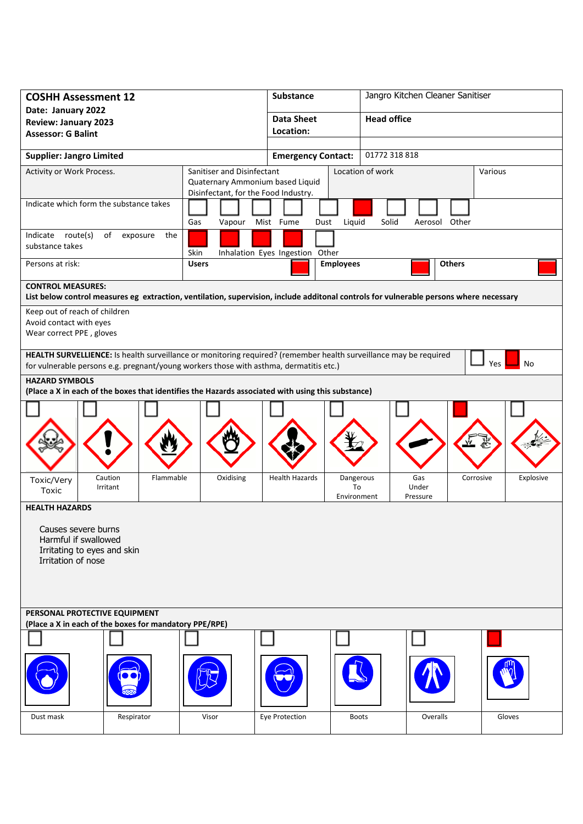| <b>COSHH Assessment 12</b>                                                                                                                                         | <b>Substance</b> |                                                                          | Jangro Kitchen Cleaner Sanitiser |                                            |                    |               |           |  |  |
|--------------------------------------------------------------------------------------------------------------------------------------------------------------------|------------------|--------------------------------------------------------------------------|----------------------------------|--------------------------------------------|--------------------|---------------|-----------|--|--|
| Date: January 2022<br><b>Review: January 2023</b>                                                                                                                  |                  |                                                                          | <b>Data Sheet</b>                |                                            | <b>Head office</b> |               |           |  |  |
| <b>Assessor: G Balint</b>                                                                                                                                          |                  |                                                                          | Location:                        |                                            |                    |               |           |  |  |
| <b>Supplier: Jangro Limited</b>                                                                                                                                    |                  |                                                                          |                                  | 01772 318 818<br><b>Emergency Contact:</b> |                    |               |           |  |  |
| Activity or Work Process.<br>Sanitiser and Disinfectant                                                                                                            |                  |                                                                          |                                  | Location of work<br>Various                |                    |               |           |  |  |
|                                                                                                                                                                    |                  | Quaternary Ammonium based Liquid<br>Disinfectant, for the Food Industry. |                                  |                                            |                    |               |           |  |  |
| Indicate which form the substance takes                                                                                                                            |                  |                                                                          |                                  |                                            |                    |               |           |  |  |
|                                                                                                                                                                    |                  | Gas                                                                      | Vapour Mist Fume<br>Dust         | Liquid                                     | Solid              | Aerosol Other |           |  |  |
| route(s)<br>Indicate<br>of<br>substance takes                                                                                                                      | exposure<br>the  | Skin                                                                     | Inhalation Eyes Ingestion Other  |                                            |                    |               |           |  |  |
| Persons at risk:                                                                                                                                                   |                  | <b>Users</b><br><b>Employees</b>                                         |                                  |                                            | <b>Others</b>      |               |           |  |  |
| <b>CONTROL MEASURES:</b><br>List below control measures eg extraction, ventilation, supervision, include additonal controls for vulnerable persons where necessary |                  |                                                                          |                                  |                                            |                    |               |           |  |  |
| Keep out of reach of children                                                                                                                                      |                  |                                                                          |                                  |                                            |                    |               |           |  |  |
| Avoid contact with eyes<br>Wear correct PPE, gloves                                                                                                                |                  |                                                                          |                                  |                                            |                    |               |           |  |  |
| HEALTH SURVELLIENCE: Is health surveillance or monitoring required? (remember health surveillance may be required                                                  |                  |                                                                          |                                  |                                            |                    |               |           |  |  |
| No<br><b>Yes</b><br>for vulnerable persons e.g. pregnant/young workers those with asthma, dermatitis etc.)                                                         |                  |                                                                          |                                  |                                            |                    |               |           |  |  |
| <b>HAZARD SYMBOLS</b><br>(Place a X in each of the boxes that identifies the Hazards associated with using this substance)                                         |                  |                                                                          |                                  |                                            |                    |               |           |  |  |
|                                                                                                                                                                    |                  |                                                                          |                                  |                                            |                    |               |           |  |  |
|                                                                                                                                                                    |                  |                                                                          |                                  |                                            |                    |               |           |  |  |
|                                                                                                                                                                    |                  |                                                                          |                                  |                                            |                    |               |           |  |  |
|                                                                                                                                                                    |                  |                                                                          |                                  |                                            |                    |               |           |  |  |
| Caution<br>Toxic/Very<br>Irritant                                                                                                                                  | Flammable        | Oxidising                                                                | <b>Health Hazards</b>            | Dangerous<br>To                            | Gas<br>Under       | Corrosive     | Explosive |  |  |
| Toxic<br><b>HEALTH HAZARDS</b>                                                                                                                                     |                  |                                                                          |                                  | Environment                                | Pressure           |               |           |  |  |
|                                                                                                                                                                    |                  |                                                                          |                                  |                                            |                    |               |           |  |  |
| Causes severe burns<br>Harmful if swallowed                                                                                                                        |                  |                                                                          |                                  |                                            |                    |               |           |  |  |
| Irritating to eyes and skin<br>Irritation of nose                                                                                                                  |                  |                                                                          |                                  |                                            |                    |               |           |  |  |
|                                                                                                                                                                    |                  |                                                                          |                                  |                                            |                    |               |           |  |  |
|                                                                                                                                                                    |                  |                                                                          |                                  |                                            |                    |               |           |  |  |
| PERSONAL PROTECTIVE EQUIPMENT                                                                                                                                      |                  |                                                                          |                                  |                                            |                    |               |           |  |  |
| (Place a X in each of the boxes for mandatory PPE/RPE)                                                                                                             |                  |                                                                          |                                  |                                            |                    |               |           |  |  |
|                                                                                                                                                                    |                  |                                                                          |                                  |                                            |                    |               |           |  |  |
|                                                                                                                                                                    |                  |                                                                          |                                  |                                            |                    |               |           |  |  |
|                                                                                                                                                                    |                  |                                                                          |                                  |                                            |                    |               |           |  |  |
|                                                                                                                                                                    |                  |                                                                          |                                  |                                            |                    |               |           |  |  |
| Dust mask                                                                                                                                                          | Respirator       | Visor                                                                    | Eye Protection                   | <b>Boots</b>                               |                    | Overalls      | Gloves    |  |  |